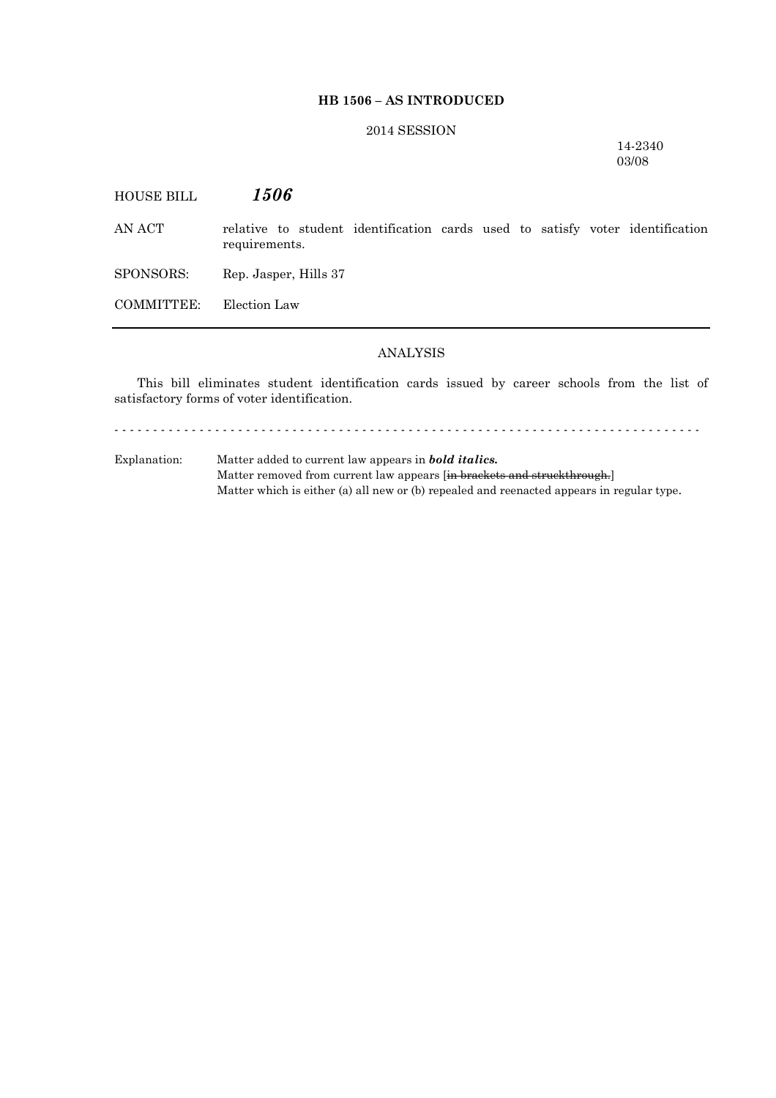### **HB 1506 – AS INTRODUCED**

# 2014 SESSION

14-2340 03/08

HOUSE BILL *1506* AN ACT relative to student identification cards used to satisfy voter identification requirements. SPONSORS: Rep. Jasper, Hills 37 COMMITTEE: Election Law

### ANALYSIS

This bill eliminates student identification cards issued by career schools from the list of satisfactory forms of voter identification.

- - - - - - - - - - - - - - - - - - - - - - - - - - - - - - - - - - - - - - - - - - - - - - - - - - - - - - - - - - - - - - - - - - - - - - - - - - - -

Explanation: Matter added to current law appears in *bold italics.* Matter removed from current law appears [in brackets and struckthrough.] Matter which is either (a) all new or (b) repealed and reenacted appears in regular type.